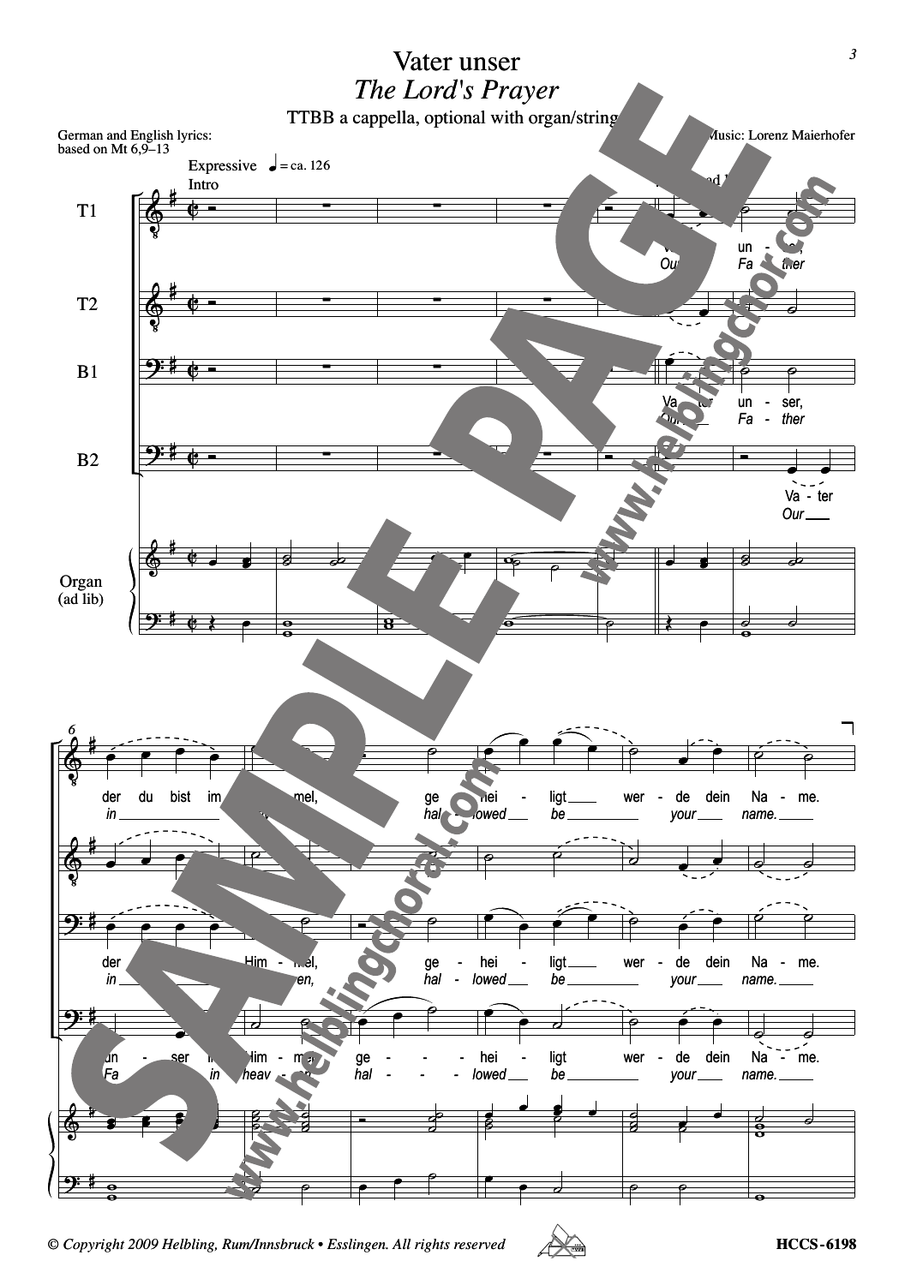

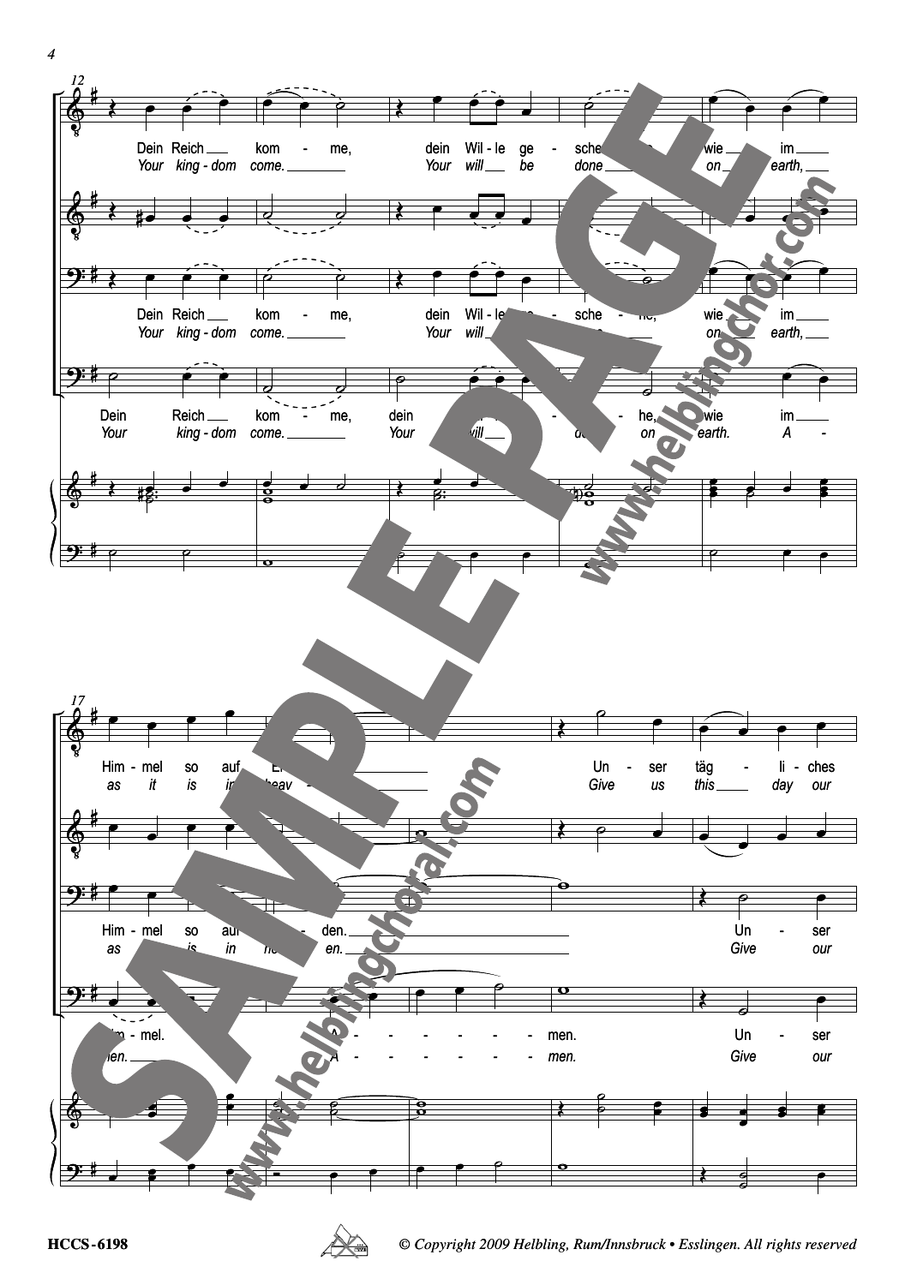

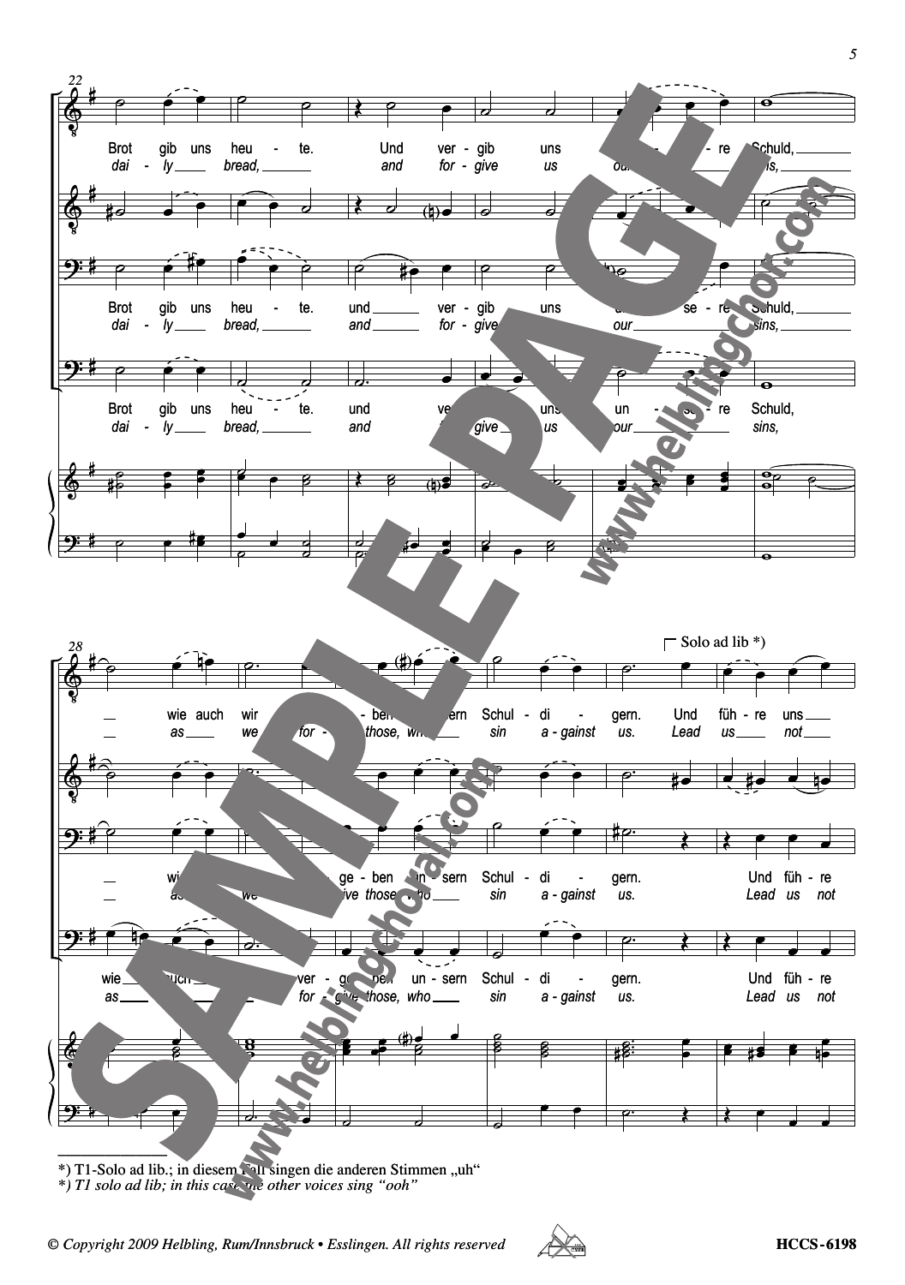

\*) T1-Solo ad lib.; in diesem Fall singen die anderen Stimmen "uh"

*\*) T1 solo ad lib; in this case the other voices sing "ooh"*

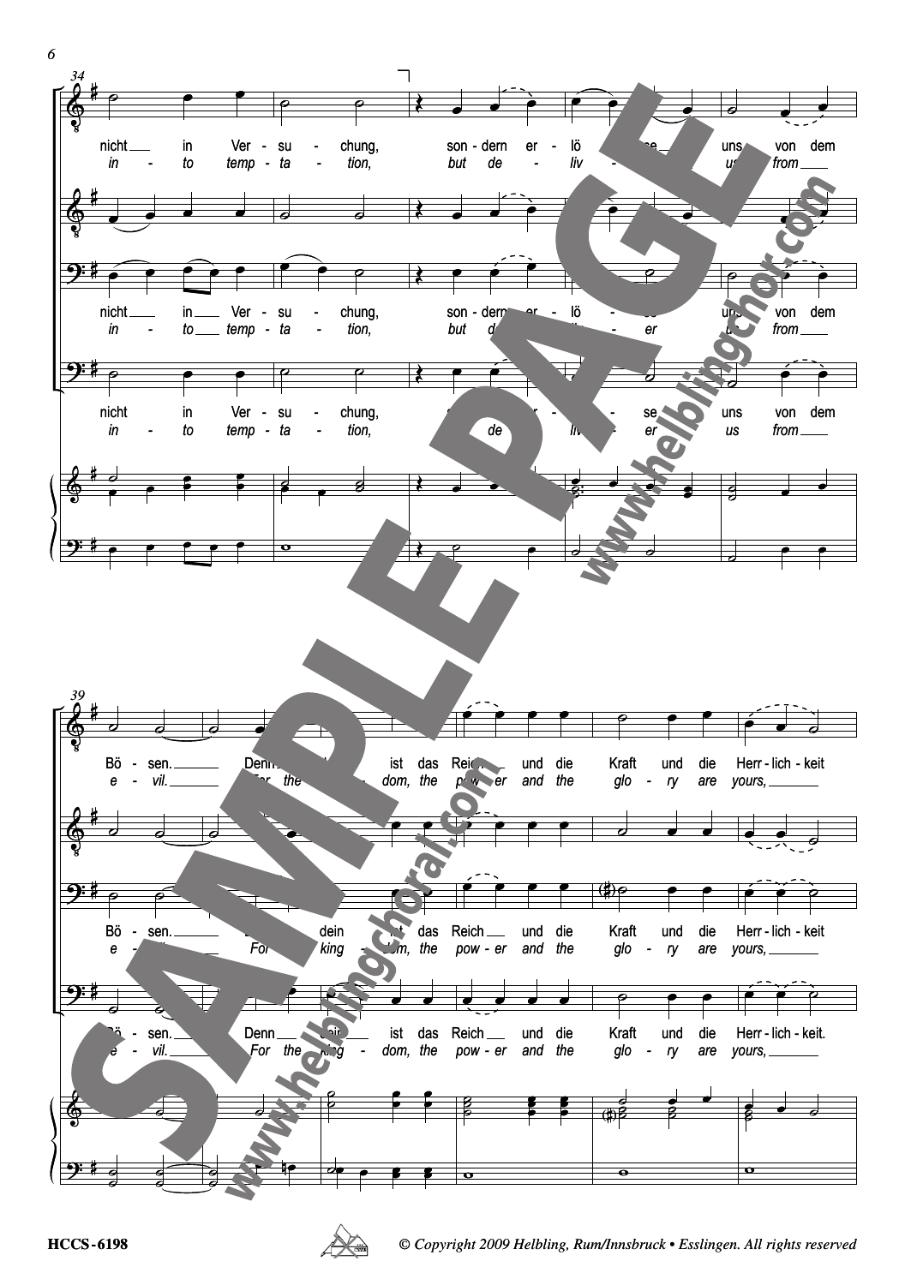